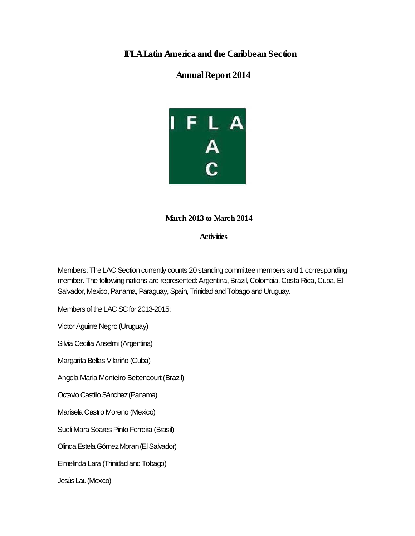## **IFLALatin America and the Caribbean Section**

## **AnnualReport 2014**



## **March 2013 to March 2014**

**Activities**

Members: The LAC Section currently counts 20 standing committee members and 1 corresponding member. The following nations are represented: Argentina, Brazil, Colombia, Costa Rica, Cuba, El Salvador, Mexico, Panama, Paraguay, Spain, Trinidad and Tobago and Uruguay.

Members of the LAC SC for 2013-2015:

Victor Aguirre Negro (Uruguay)

Silvia Cecilia Anselmi (Argentina)

Margarita Bellas Vilariño (Cuba)

Angela Maria Monteiro Bettencourt(Brazil)

Octavio Castillo Sánchez (Panama)

Marisela Castro Moreno (Mexico)

Sueli Mara Soares Pinto Ferreira (Brasil)

Olinda Estela Gómez Moran (El Salvador)

Elmelinda Lara (Trinidad andTobago)

JesúsLau(Mexico)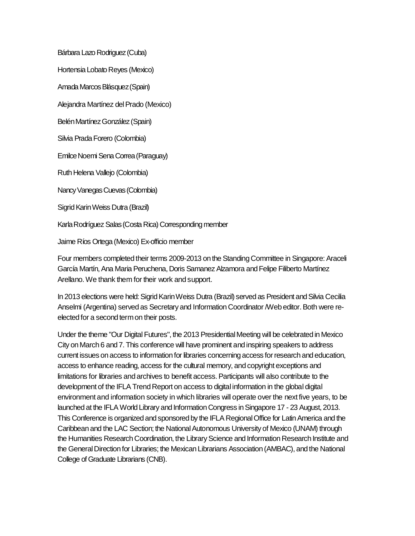Bárbara Lazo Rodriguez (Cuba)

Hortensia Lobato Reyes (Mexico)

Amada MarcosBlásquez(Spain)

Alejandra Martínez del Prado (Mexico)

Belén Martínez González (Spain)

Silvia Prada Forero (Colombia)

EmilceNoemi SenaCorrea(Paraguay)

Ruth Helena Vallejo (Colombia)

Nancy Vanegas Cuevas (Colombia)

Sigrid Karin Weiss Dutra (Brazil)

Karla Rodríguez Salas (Costa Rica) Corresponding member

Jaime Ríos Ortega (Mexico) Ex-officio member

Four members completed their terms 2009-2013 on the Standing Committee in Singapore: Araceli García Martín, Ana Maria Peruchena, Doris Samanez Alzamora and Felipe Filiberto Martínez Arellano. We thank them for their work and support.

In 2013 elections were held: Sigrid Karin Weiss Dutra (Brazil) served as President and Silvia Cecilia Anselmi (Argentina) served as Secretary and Information Coordinator /Web editor. Both were reelected for a second termon their posts.

Under the theme "Our Digital Futures", the 2013 Presidential Meeting will be celebrated in Mexico City on March 6 and 7. This conference will have prominent and inspiring speakers to address current issues on access to information for libraries concerning access forresearch and education, access to enhance reading, access for the cultural memory, and copyright exceptions and limitations for libraries and archives to benefit access. Participants will also contribute to the development of the IFLA Trend Report on access to digital information in the global digital environment and information society in which libraries will operate over the next five years, to be launched at the IFLA World Library and InformationCongress inSingapore 17 - 23 August, 2013. This Conference is organized and sponsored by the IFLA RegionalOffice for LatinAmerica and the Caribbean and the LAC Section; the NationalAutonomous University of Mexico (UNAM) through the Humanities Research Coordination, the Library Science and Information Research Institute and the General Direction for Libraries; the Mexican Librarians Association (AMBAC), and the National College of Graduate Librarians (CNB).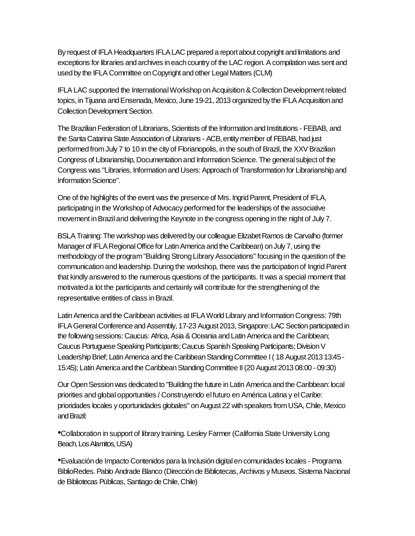By request of IFLA Headquarters IFLALAC prepared a reportabout copyright and limitations and exceptions for libraries and archives in each country of the LAC region. A compilation was sent and used by the IFLA Committee on Copyright and other Legal Matters (CLM)

IFLA LAC supported the International Workshop on Acquisition & Collection Development related topics, in Tijuana and Ensenada, Mexico, June 19-21, 2013 organized by the IFLA Acquisition and Collection Development Section.

The Brazilian Federation of Librarians, Scientists of the Information and Institutions - FEBAB, and the Santa Catarina State Association of Librarians - ACB, entity member of FEBAB, had just performed from July 7 to 10 in the city of Florianopolis, in the south of Brazil, the XXV Brazilian Congress of Librarianship, Documentation and Information Science. The general subject of the Congress was "Libraries, Information and Users: Approach of Transformation for Librarianship and Information Science".

One of the highlights of the event was the presence of Mrs. Ingrid Parent, President of IFLA, participating in the Workshop of Advocacy performed for the leaderships of the associative movement inBraziland delivering the Keynote in the congress opening in the night of July 7.

BSLA Training: The workshop was delivered by our colleague Elizabet Ramos de Carvalho (former Manager of IFLARegionalOffice for LatinAmerica and the Caribbean) onJuly 7, using the methodology of the program "Building Strong Library Associations" focusing in the question of the communication and leadership. During the workshop, there was the participation of Ingrid Parent that kindly answered to the numerous questions of the participants. It was a special moment that motivated a lot the participants and certainly will contribute for the strengthening of the representative entities of class in Brazil.

Latin America and the Caribbean activities at IFLA World Library and Information Congress: 79th IFLA General Conference and Assembly, 17-23 August 2013, Singapore: LAC Section participated in the following sessions: Caucus: Africa, Asia & Oceania and Latin America and the Caribbean; Caucus Portuguese Speaking Participants; Caucus Spanish Speaking Participants; Division V Leadership Brief; Latin America and the Caribbean Standing Committee I (18 August 2013 13:45 -15:45); LatinAmerica and the CaribbeanStandingCommittee II(20 August 2013 08:00 - 09:30)

Our OpenSessionwas dedicated to "Building the future in Latin America and the Caribbean: local priorities and globalopportunities / Construyendo elfuturo en América Latina y elCaribe: prioridades locales y oportunidades globales" on August 22 with speakers from USA, Chile, Mexico andBrazil:

Collaboration in support of library training. Lesley Farmer (California State University Long • Beach, Los Alamitos, USA)

Evaluación de Impacto Contenidos para la Inclusión digitalen comunidades locales - Programa •BiblioRedes. Pablo Andrade Blanco (Dirección de Bibliotecas, Archivos y Museos. Sistema Nacional de Bibliotecas Públicas, Santiago de Chile, Chile)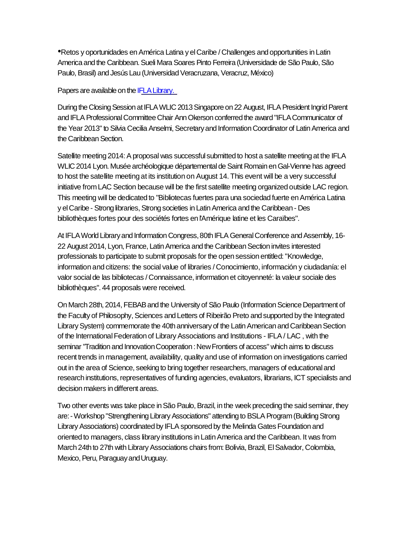•Retos <sup>y</sup> oportunidades enAmérica Latina <sup>y</sup> elCaribe / Challenges and opportunities in Latin America and the Caribbean. Sueli Mara Soares Pinto Ferreira (Universidade de São Paulo, São Paulo, Brasil) and Jesús Lau (Universidad Veracruzana, Veracruz, México)

Papers are available on the IFLA Library.

During the Closing Session at IFLA WLIC 2013 Singapore on 22 August, IFLA President Ingrid Parent and IFLAProfessionalCommitteeChair AnnOkerson conferred the award "IFLACommunicator of the Year 2013" to Silvia Cecilia Anselmi, Secretary and Information Coordinator of Latin America and the Caribbean Section.

Satellite meeting 2014: A proposal was successful submitted to host a satellite meeting at the IFLA WLIC 2014 Lyon. Musée archéologique départementalde Saint Romain enGal-Vienne has agreed to host the satellite meeting at its institution on August 14. This event will be a very successful initiative fromLAC Section because will be the first satellite meeting organized outside LAC region. This meeting will be dedicated to "Bibliotecas fuertes para una sociedad fuerte en América Latina y el Caribe - Strong libraries, Strong societies in Latin America and the Caribbean - Des bibliothèques fortes pour des sociétés fortes en l'Amérique latine et les Caraïbes".

At IFLA World Library and Information Congress, 80th IFLA General Conference and Assembly, 16-22 August 2014, Lyon, France, Latin America and the Caribbean Section invites interested professionals to participate to submit proposals for the open session entitled:"Knowledge, information and citizens: the social value of libraries / Conocimiento, información y ciudadanía: el valor socialde las bibliotecas / Connaissance, information et citoyenneté: la valeur sociale des bibliothèques". 44 proposals were received.

On March 28th, 2014, FEBAB and the University of São Paulo (Information Science Department of the Faculty of Philosophy, Sciences and Letters of Ribeirão Preto and supported by the Integrated Library System) commemorate the 40th anniversary of the Latin American and Caribbean Section of the InternationalFederation of LibraryAssociations and Institutions - IFLA/ LAC , with the seminar "Tradition and Innovation Cooperation : New Frontiers of access" which aims to discuss recent trends in management, availability, quality and use of information on investigations carried out in the area of Science, seeking to bring together researchers, managers of educationaland research institutions, representatives of funding agencies, evaluators, librarians, ICT specialists and decision makers in different areas.

Two other events was take place in São Paulo, Brazil, in the week preceding the said seminar, they are: - Workshop "Strengthening Library Associations" attending to BSLA Program (Building Strong Library Associations) coordinated by IFLA sponsored by the Melinda Gates Foundation and oriented to managers, class library institutions in LatinAmerica and the Caribbean. It was from March 24th to 27th with Library Associations chairs from: Bolivia, Brazil, El Salvador, Colombia, Mexico, Peru, Paraguay and Uruguay.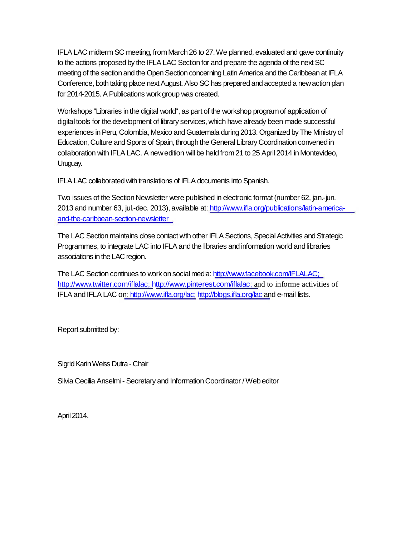IFLA LAC midterm SC meeting, from March 26 to 27. We planned, evaluated and gave continuity to the actions proposed by the IFLA LAC Section for and prepare the agenda of the next SC meeting of the section and the Open Section concerning Latin America and the Caribbean at IFLA Conference, both taking place next August. Also SC has prepared and accepted a new action plan for 2014-2015. A Publications work group was created.

Workshops "Libraries in the digital world", as part of the workshop programof application of digital tools for the development of library services, which have already been made successful experiences in Peru, Colombia, Mexico and Guatemala during 2013. Organized by The Ministry of Education, Culture and Sports of Spain, through the General Library Coordination convened in collaboration with IFLALAC. A newedition will be held from21 to 25 April 2014 in Montevideo, Uruguay.

IFLA LAC collaborated with translations of IFLA documents into Spanish.

Two issues of the Section Newsletter were published in electronic format (number 62, jan.-jun. 2013 and number 63, jul.-dec. 2013), available at: http://www.ifla.org/publications/latin-americaand-the-caribbean-section-newsletter

The LAC Section maintains close contact with other IFLA Sections, Special Activities and Strategic Programmes, to integrate LAC into IFLAand the libraries and information world and libraries associations in the LAC region.

The LAC Section continues to work on socialmedia: http://www.facebook.com/IFLALAC; http://www.twitter.com/iflalac; http://www.pinterest.com/iflalac; and to informe activities of IFLA and IFLA LAC on: http://www.ifla.org/lac; http://blogs.ifla.org/lac and e-mail lists.

Reportsubmitted by:

Sigrid Karin Weiss Dutra - Chair

Silvia Cecilia Anselmi - Secretary and Information Coordinator / Web editor

April2014.